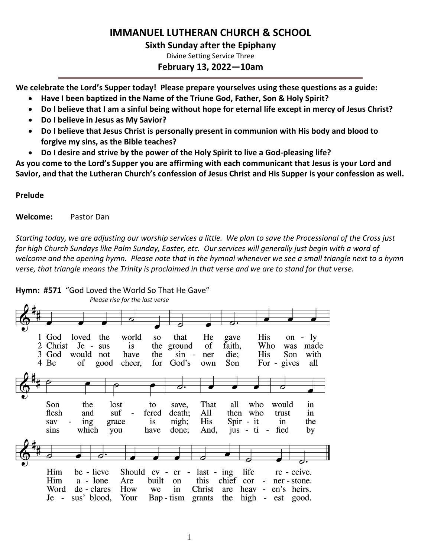# **IMMANUEL LUTHERAN CHURCH & SCHOOL**

#### **Sixth Sunday after the Epiphany**

Divine Setting Service Three

## **February 13, 2022—10am**

**We celebrate the Lord's Supper today! Please prepare yourselves using these questions as a guide:**

- **Have I been baptized in the Name of the Triune God, Father, Son & Holy Spirit?**
- **Do I believe that I am a sinful being without hope for eternal life except in mercy of Jesus Christ?**
- **Do I believe in Jesus as My Savior?**
- **Do I believe that Jesus Christ is personally present in communion with His body and blood to forgive my sins, as the Bible teaches?**
- **Do I desire and strive by the power of the Holy Spirit to live a God-pleasing life?**

**As you come to the Lord's Supper you are affirming with each communicant that Jesus is your Lord and Savior, and that the Lutheran Church's confession of Jesus Christ and His Supper is your confession as well.**

#### **Prelude**

**Welcome:** Pastor Dan

*Starting today, we are adjusting our worship services a little. We plan to save the Processional of the Cross just for high Church Sundays like Palm Sunday, Easter, etc. Our services will generally just begin with a word of welcome and the opening hymn. Please note that in the hymnal whenever we see a small triangle next to a hymn verse, that triangle means the Trinity is proclaimed in that verse and we are to stand for that verse.* 

#### **Hymn: #571** "God Loved the World So That He Gave" *Please rise for the last verse*1 God loved the world that He His on -  $\lg$ **SO** gave faith, 2 Christ  $Je$ sus is the ground of Who was made 3 God the **His** Son would not have sin  $\overline{a}$ ner die: with for For - gives 4 Be of good cheer, God's own Son all Son That the lost all who would to save. in flesh and suf fered death; All then who trust in ing nigh; His Spir - it  $in$ the sav grace is sins which you have done; And, jus -  $t$ i fied by Him be - lieve Should ev - er life  $last - ing$ re - ceive. Him a - lone Are built chief on this cor ner - stone.  $\sim$ Word de - clares How we in Christ are heav en's heirs.  $Je$ sus' blood, Your Bap-tism grants the high est good.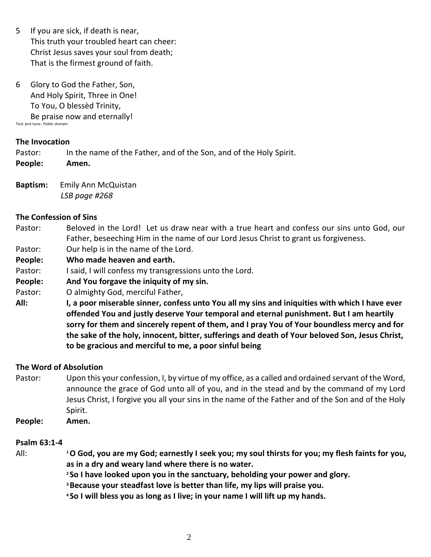- 5 If you are sick, if death is near, This truth your troubled heart can cheer: Christ Jesus saves your soul from death; That is the firmest ground of faith.
- 6 Glory to God the Father, Son, And Holy Spirit, Three in One! To You, O blessèd Trinity, Be praise now and eternally! Text and tune: Public domain

#### **The Invocation**

Pastor: In the name of the Father, and of the Son, and of the Holy Spirit.

**People: Amen.**

**Baptism:** Emily Ann McQuistan*LSB page #268*

## **The Confession of Sins**

- Pastor: Beloved in the Lord! Let us draw near with a true heart and confess our sins unto God, our Father, beseeching Him in the name of our Lord Jesus Christ to grant us forgiveness.
- Pastor: Our help is in the name of the Lord.
- **People: Who made heaven and earth.**
- Pastor: I said, I will confess my transgressions unto the Lord.
- **People: And You forgave the iniquity of my sin.**
- Pastor: O almighty God, merciful Father,
- **All: I, a poor miserable sinner, confess unto You all my sins and iniquities with which I have ever offended You and justly deserve Your temporal and eternal punishment. But I am heartily sorry for them and sincerely repent of them, and I pray You of Your boundless mercy and for the sake of the holy, innocent, bitter, sufferings and death of Your beloved Son, Jesus Christ, to be gracious and merciful to me, a poor sinful being**

## **The Word of Absolution**

- Pastor: Upon this your confession, I, by virtue of my office, as a called and ordained servant of the Word, announce the grace of God unto all of you, and in the stead and by the command of my Lord Jesus Christ, I forgive you all your sins in the name of the Father and of the Son and of the Holy Spirit.
- **People: Amen.**

## **Psalm 63:1-4**

- All: **<sup>1</sup>O God, you are my God; earnestly I seek you; my soul thirsts for you; my flesh faints for you, as in a dry and weary land where there is no water.**
	- **<sup>2</sup> So I have looked upon you in the sanctuary, beholding your power and glory.**
	- **<sup>3</sup>Because your steadfast love is better than life, my lips will praise you.**
	- **<sup>4</sup> So I will bless you as long as I live; in your name I will lift up my hands.**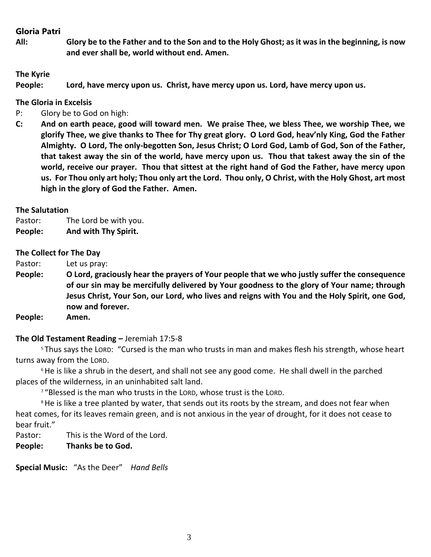## **Gloria Patri**

**All: Glory be to the Father and to the Son and to the Holy Ghost; as it was in the beginning, is now and ever shall be, world without end. Amen.**

#### **The Kyrie**

**People: Lord, have mercy upon us. Christ, have mercy upon us. Lord, have mercy upon us.**

#### **The Gloria in Excelsis**

- P: Glory be to God on high:
- **C: And on earth peace, good will toward men. We praise Thee, we bless Thee, we worship Thee, we glorify Thee, we give thanks to Thee for Thy great glory. O Lord God, heav'nly King, God the Father Almighty. O Lord, The only-begotten Son, Jesus Christ; O Lord God, Lamb of God, Son of the Father, that takest away the sin of the world, have mercy upon us. Thou that takest away the sin of the world, receive our prayer. Thou that sittest at the right hand of God the Father, have mercy upon us. For Thou only art holy; Thou only art the Lord. Thou only, O Christ, with the Holy Ghost, art most high in the glory of God the Father. Amen.**

#### **The Salutation**

Pastor: The Lord be with you. **People: And with Thy Spirit.**

#### **The Collect for The Day**

Pastor: Let us pray:

- **People: O Lord, graciously hear the prayers of Your people that we who justly suffer the consequence of our sin may be mercifully delivered by Your goodness to the glory of Your name; through Jesus Christ, Your Son, our Lord, who lives and reigns with You and the Holy Spirit, one God, now and forever.**
- **People: Amen.**

#### **The Old Testament Reading –** Jeremiah 17:5-8

<sup>5</sup> Thus says the LORD: "Cursed is the man who trusts in man and makes flesh his strength, whose heart turns away from the LORD.

<sup>6</sup> He is like a shrub in the desert, and shall not see any good come. He shall dwell in the parched places of the wilderness, in an uninhabited salt land.

<sup>7</sup> "Blessed is the man who trusts in the LORD, whose trust is the LORD.

<sup>8</sup> He is like a tree planted by water, that sends out its roots by the stream, and does not fear when heat comes, for its leaves remain green, and is not anxious in the year of drought, for it does not cease to bear fruit."

Pastor: This is the Word of the Lord.

**People: Thanks be to God.**

**Special Music:** "As the Deer" *Hand Bells*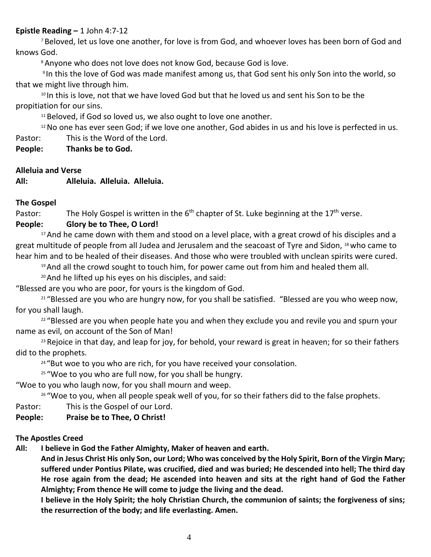#### **Epistle Reading –** 1 John 4:7-12

<sup>7</sup> Beloved, let us love one another, for love is from God, and whoever loves has been born of God and knows God.

<sup>8</sup> Anyone who does not love does not know God, because God is love.

9 In this the love of God was made manifest among us, that God sent his only Son into the world, so that we might live through him.

<sup>10</sup> In this is love, not that we have loved God but that he loved us and sent his Son to be the propitiation for our sins.

 $11$  Beloved, if God so loved us, we also ought to love one another.

<sup>12</sup> No one has ever seen God; if we love one another, God abides in us and his love is perfected in us. Pastor: This is the Word of the Lord.

**People: Thanks be to God.**

#### **Alleluia and Verse**

**All: Alleluia. Alleluia. Alleluia.**

**The Gospel**

Pastor: The Holy Gospel is written in the  $6<sup>th</sup>$  chapter of St. Luke beginning at the 17<sup>th</sup> verse.

## **People: Glory be to Thee, O Lord!**

<sup>17</sup> And he came down with them and stood on a level place, with a great crowd of his disciples and a great multitude of people from all Judea and Jerusalem and the seacoast of Tyre and Sidon, 18 who came to hear him and to be healed of their diseases. And those who were troubled with unclean spirits were cured.

<sup>19</sup> And all the crowd sought to touch him, for power came out from him and healed them all.

<sup>20</sup>And he lifted up his eyes on his disciples, and said:

"Blessed are you who are poor, for yours is the kingdom of God.

<sup>21</sup> "Blessed are you who are hungry now, for you shall be satisfied. "Blessed are you who weep now, for you shall laugh.

<sup>22</sup> "Blessed are you when people hate you and when they exclude you and revile you and spurn your name as evil, on account of the Son of Man!

<sup>23</sup> Rejoice in that day, and leap for joy, for behold, your reward is great in heaven; for so their fathers did to the prophets.

<sup>24</sup> "But woe to you who are rich, for you have received your consolation.

<sup>25</sup> "Woe to you who are full now, for you shall be hungry.

"Woe to you who laugh now, for you shall mourn and weep.

<sup>26</sup> "Woe to you, when all people speak well of you, for so their fathers did to the false prophets.

Pastor: This is the Gospel of our Lord.

## **People: Praise be to Thee, O Christ!**

#### **The Apostles Creed**

**All: I believe in God the Father Almighty, Maker of heaven and earth.** 

**And in Jesus Christ His only Son, our Lord; Who was conceived by the Holy Spirit, Born of the Virgin Mary; suffered under Pontius Pilate, was crucified, died and was buried; He descended into hell; The third day He rose again from the dead; He ascended into heaven and sits at the right hand of God the Father Almighty; From thence He will come to judge the living and the dead.**

**I believe in the Holy Spirit; the holy Christian Church, the communion of saints; the forgiveness of sins; the resurrection of the body; and life everlasting. Amen.**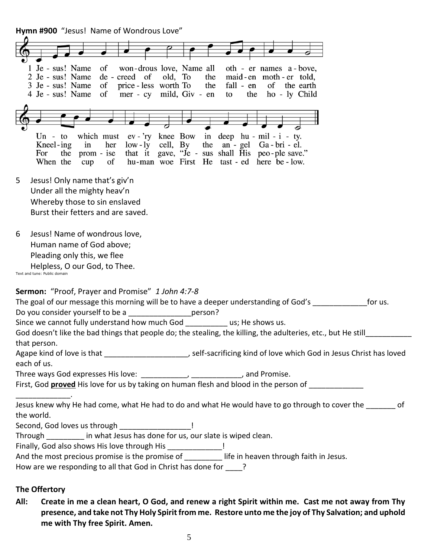**Hymn #900** "Jesus! Name of Wondrous Love"

| of<br>won-drous love, Name all<br>1 Je - sus! Name<br>oth - er names a - bove,<br>de - creed of<br>2 Je - sus! Name<br>old, To<br>the<br>maid-en moth-er told,<br>of<br>price - less worth To<br>3 Je - sus! Name<br>the<br>fall - en<br>of the earth<br>mer - cy mild, Giv - en<br>4 Je - sus! Name<br>of<br>the<br>ho - ly Child<br>to |
|------------------------------------------------------------------------------------------------------------------------------------------------------------------------------------------------------------------------------------------------------------------------------------------------------------------------------------------|
|                                                                                                                                                                                                                                                                                                                                          |
|                                                                                                                                                                                                                                                                                                                                          |
| which must ev - 'ry knee Bow<br>Un - to<br>in deep $hu - mil - i - ty$ .<br>the an - gel<br>Kneel-ing<br>in<br>$low - ly$<br>cell, By<br>Ga - bri - el.<br>her<br>that it gave, "Je - sus shall His peo-ple save."<br>the<br>For<br>prom - ise<br>hu-man woe First He tast - ed here be - low.<br>When the<br>cup<br>of                  |
| Jesus! Only name that's giv'n<br>5                                                                                                                                                                                                                                                                                                       |
| Under all the mighty heav'n                                                                                                                                                                                                                                                                                                              |
| Whereby those to sin enslaved<br>Burst their fetters and are saved.                                                                                                                                                                                                                                                                      |
| Jesus! Name of wondrous love,<br>6<br>Human name of God above;<br>Pleading only this, we flee<br>Helpless, O our God, to Thee.<br>Text and tune: Public domain                                                                                                                                                                           |
| <b>Sermon:</b> "Proof, Prayer and Promise" 1 John 4:7-8                                                                                                                                                                                                                                                                                  |
| The goal of our message this morning will be to have a deeper understanding of God's _<br>for us.                                                                                                                                                                                                                                        |
| Do you consider yourself to be a<br>person?<br>Since we cannot fully understand how much God by the shows us.                                                                                                                                                                                                                            |
| God doesn't like the bad things that people do; the stealing, the killing, the adulteries, etc., but He still                                                                                                                                                                                                                            |
| that person.                                                                                                                                                                                                                                                                                                                             |
| Agape kind of love is that ________________________, self-sacrificing kind of love which God in Jesus Christ has loved                                                                                                                                                                                                                   |
| each of us.                                                                                                                                                                                                                                                                                                                              |
| First, God proved His love for us by taking on human flesh and blood in the person of                                                                                                                                                                                                                                                    |
|                                                                                                                                                                                                                                                                                                                                          |
| Jesus knew why He had come, what He had to do and what He would have to go through to cover the ______ of<br>the world.                                                                                                                                                                                                                  |
| Second, God loves us through __________________!                                                                                                                                                                                                                                                                                         |
| Through _________ in what Jesus has done for us, our slate is wiped clean.                                                                                                                                                                                                                                                               |
| Finally, God also shows His love through His _______________!                                                                                                                                                                                                                                                                            |
| And the most precious promise is the promise of ________ life in heaven through faith in Jesus.<br>How are we responding to all that God in Christ has done for ____?                                                                                                                                                                    |
|                                                                                                                                                                                                                                                                                                                                          |
| The Offertory                                                                                                                                                                                                                                                                                                                            |

**All: Create in me a clean heart, O God, and renew a right Spirit within me. Cast me not away from Thy presence, and take not Thy Holy Spirit from me. Restore unto me the joy of Thy Salvation; and uphold me with Thy free Spirit. Amen.**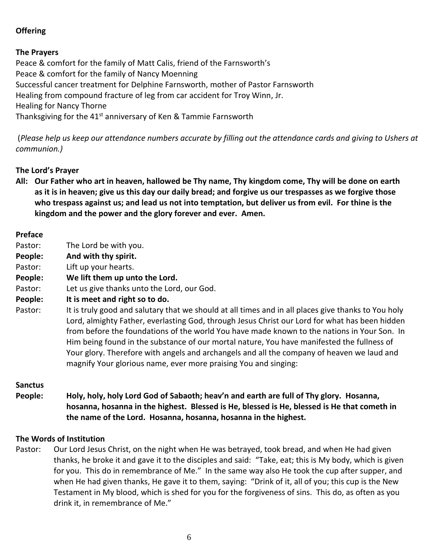# **Offering**

## **The Prayers**

Peace & comfort for the family of Matt Calis, friend of the Farnsworth's Peace & comfort for the family of Nancy Moenning Successful cancer treatment for Delphine Farnsworth, mother of Pastor Farnsworth Healing from compound fracture of leg from car accident for Troy Winn, Jr. Healing for Nancy Thorne Thanksgiving for the  $41<sup>st</sup>$  anniversary of Ken & Tammie Farnsworth

(*Please help us keep our attendance numbers accurate by filling out the attendance cards and giving to Ushers at communion.)*

## **The Lord's Prayer**

**All: Our Father who art in heaven, hallowed be Thy name, Thy kingdom come, Thy will be done on earth as it is in heaven; give us this day our daily bread; and forgive us our trespasses as we forgive those who trespass against us; and lead us not into temptation, but deliver us from evil. For thine is the kingdom and the power and the glory forever and ever. Amen.**

#### **Preface**

- Pastor: The Lord be with you.
- **People: And with thy spirit.**
- Pastor: Lift up your hearts.
- **People: We lift them up unto the Lord.**
- Pastor: Let us give thanks unto the Lord, our God.
- **People: It is meet and right so to do.**
- Pastor: It is truly good and salutary that we should at all times and in all places give thanks to You holy Lord, almighty Father, everlasting God, through Jesus Christ our Lord for what has been hidden from before the foundations of the world You have made known to the nations in Your Son. In Him being found in the substance of our mortal nature, You have manifested the fullness of Your glory. Therefore with angels and archangels and all the company of heaven we laud and magnify Your glorious name, ever more praising You and singing:

#### **Sanctus**

**People: Holy, holy, holy Lord God of Sabaoth; heav'n and earth are full of Thy glory. Hosanna, hosanna, hosanna in the highest. Blessed is He, blessed is He, blessed is He that cometh in the name of the Lord. Hosanna, hosanna, hosanna in the highest.**

#### **The Words of Institution**

Pastor: Our Lord Jesus Christ, on the night when He was betrayed, took bread, and when He had given thanks, he broke it and gave it to the disciples and said: "Take, eat; this is My body, which is given for you. This do in remembrance of Me." In the same way also He took the cup after supper, and when He had given thanks, He gave it to them, saying: "Drink of it, all of you; this cup is the New Testament in My blood, which is shed for you for the forgiveness of sins. This do, as often as you drink it, in remembrance of Me."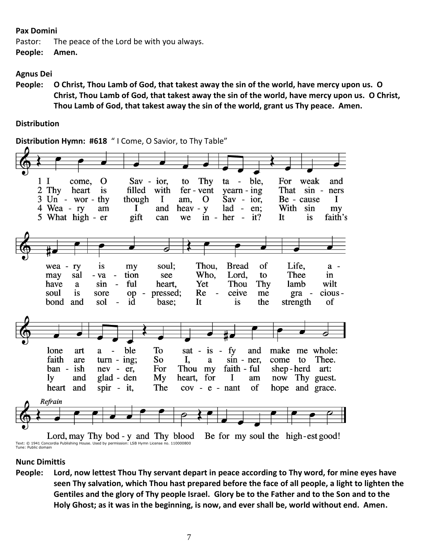#### **Pax Domini**

Pastor: The peace of the Lord be with you always. **People: Amen.**

#### **Agnus Dei**

**People: O Christ, Thou Lamb of God, that takest away the sin of the world, have mercy upon us. O Christ, Thou Lamb of God, that takest away the sin of the world, have mercy upon us. O Christ, Thou Lamb of God, that takest away the sin of the world, grant us Thy peace. Amen.**

#### **Distribution**

**Distribution Hymn: #618** " I Come, O Savior, to Thy Table"



#### **Nunc Dimittis**

**People: Lord, now lettest Thou Thy servant depart in peace according to Thy word, for mine eyes have seen Thy salvation, which Thou hast prepared before the face of all people, a light to lighten the Gentiles and the glory of Thy people Israel. Glory be to the Father and to the Son and to the Holy Ghost; as it was in the beginning, is now, and ever shall be, world without end. Amen.**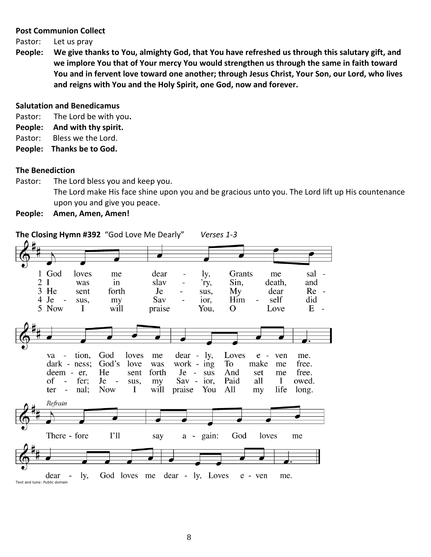#### **Post Communion Collect**

- Pastor: Let us pray
- **People: We give thanks to You, almighty God, that You have refreshed us through this salutary gift, and we implore You that of Your mercy You would strengthen us through the same in faith toward You and in fervent love toward one another; through Jesus Christ, Your Son, our Lord, who lives and reigns with You and the Holy Spirit, one God, now and forever.**

#### **Salutation and Benedicamus**

- Pastor: The Lord be with you**.**
- **People: And with thy spirit.**
- Pastor: Bless we the Lord.
- **People: Thanks be to God.**

#### **The Benediction**

Pastor: The Lord bless you and keep you. The Lord make His face shine upon you and be gracious unto you. The Lord lift up His countenance upon you and give you peace.

**People: Amen, Amen, Amen!**

**The Closing Hymn #392** "God Love Me Dearly"*Verses 1-3*

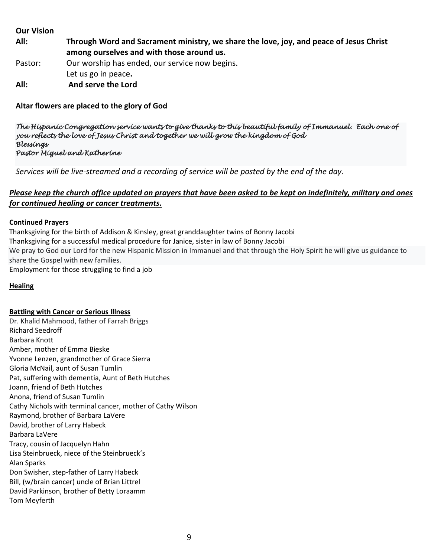#### **Our Vision**

**All: Through Word and Sacrament ministry, we share the love, joy, and peace of Jesus Christ among ourselves and with those around us.** Pastor: Our worship has ended, our service now begins.

- Let us go in peace**.**
- **All: And serve the Lord**

# **Altar flowers are placed to the glory of God**

*The Hispanic Congregation service wants to give thanks to this beautiful family of Immanuel. Each one of you reflects the love of Jesus Christ and together we will grow the kingdom of God Blessings Pastor Miguel and Katherine* 

*Services will be live-streamed and a recording of service will be posted by the end of the day.* 

## *Please keep the church office updated on prayers that have been asked to be kept on indefinitely, military and ones for continued healing or cancer treatments.*

#### **Continued Prayers**

Thanksgiving for the birth of Addison & Kinsley, great granddaughter twins of Bonny Jacobi Thanksgiving for a successful medical procedure for Janice, sister in law of Bonny Jacobi We pray to God our Lord for the new Hispanic Mission in Immanuel and that through the Holy Spirit he will give us guidance to share the Gospel with new families. Employment for those struggling to find a job

#### **Healing**

#### **Battling with Cancer or Serious Illness**

Dr. Khalid Mahmood, father of Farrah Briggs Richard Seedroff Barbara Knott Amber, mother of Emma Bieske Yvonne Lenzen, grandmother of Grace Sierra Gloria McNail, aunt of Susan Tumlin Pat, suffering with dementia, Aunt of Beth Hutches Joann, friend of Beth Hutches Anona, friend of Susan Tumlin Cathy Nichols with terminal cancer, mother of Cathy Wilson Raymond, brother of Barbara LaVere David, brother of Larry Habeck Barbara LaVere Tracy, cousin of Jacquelyn Hahn Lisa Steinbrueck, niece of the Steinbrueck's Alan Sparks Don Swisher, step-father of Larry Habeck Bill, (w/brain cancer) uncle of Brian Littrel David Parkinson, brother of Betty Loraamm Tom Meyferth